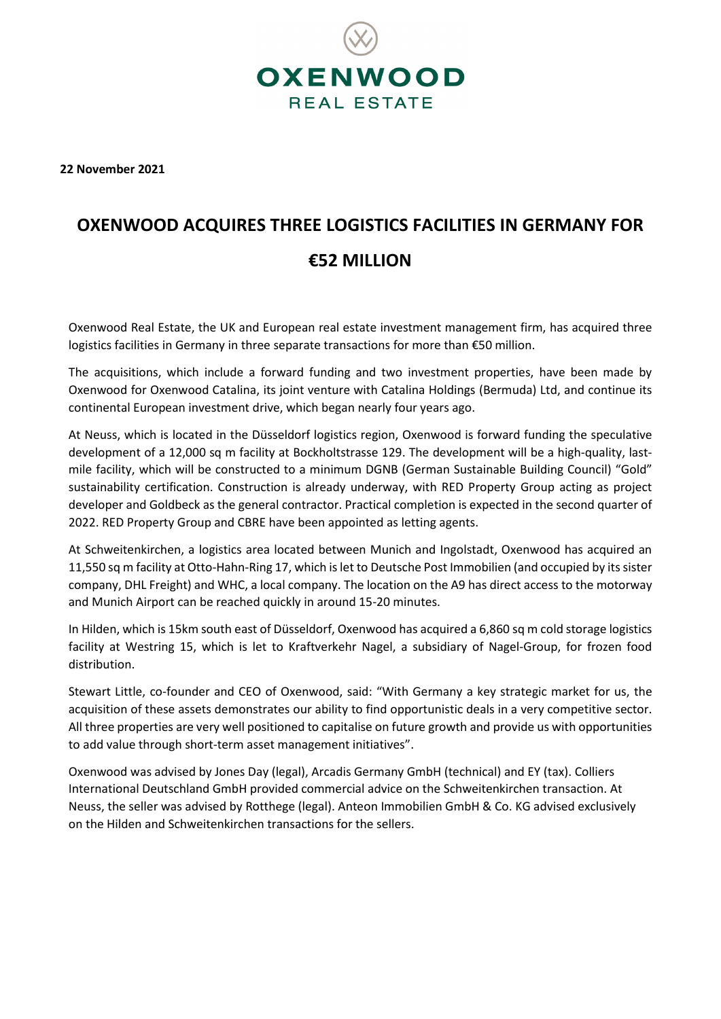

**22 November 2021**

# **OXENWOOD ACQUIRES THREE LOGISTICS FACILITIES IN GERMANY FOR €52 MILLION**

Oxenwood Real Estate, the UK and European real estate investment management firm, has acquired three logistics facilities in Germany in three separate transactions for more than €50 million.

The acquisitions, which include a forward funding and two investment properties, have been made by Oxenwood for Oxenwood Catalina, its joint venture with Catalina Holdings (Bermuda) Ltd, and continue its continental European investment drive, which began nearly four years ago.

At Neuss, which is located in the Düsseldorf logistics region, Oxenwood is forward funding the speculative development of a 12,000 sq m facility at Bockholtstrasse 129. The development will be a high-quality, lastmile facility, which will be constructed to a minimum DGNB (German Sustainable Building Council) "Gold" sustainability certification. Construction is already underway, with RED Property Group acting as project developer and Goldbeck as the general contractor. Practical completion is expected in the second quarter of 2022. RED Property Group and CBRE have been appointed as letting agents.

At Schweitenkirchen, a logistics area located between Munich and Ingolstadt, Oxenwood has acquired an 11,550 sq m facility at Otto-Hahn-Ring 17, which is let to Deutsche Post Immobilien (and occupied by its sister company, DHL Freight) and WHC, a local company. The location on the A9 has direct access to the motorway and Munich Airport can be reached quickly in around 15-20 minutes.

In Hilden, which is 15km south east of Düsseldorf, Oxenwood has acquired a 6,860 sq m cold storage logistics facility at Westring 15, which is let to Kraftverkehr Nagel, a subsidiary of Nagel-Group, for frozen food distribution.

Stewart Little, co-founder and CEO of Oxenwood, said: "With Germany a key strategic market for us, the acquisition of these assets demonstrates our ability to find opportunistic deals in a very competitive sector. All three properties are very well positioned to capitalise on future growth and provide us with opportunities to add value through short-term asset management initiatives".

Oxenwood was advised by Jones Day (legal), Arcadis Germany GmbH (technical) and EY (tax). Colliers International Deutschland GmbH provided commercial advice on the Schweitenkirchen transaction. At Neuss, the seller was advised by Rotthege (legal). Anteon Immobilien GmbH & Co. KG advised exclusively on the Hilden and Schweitenkirchen transactions for the sellers.